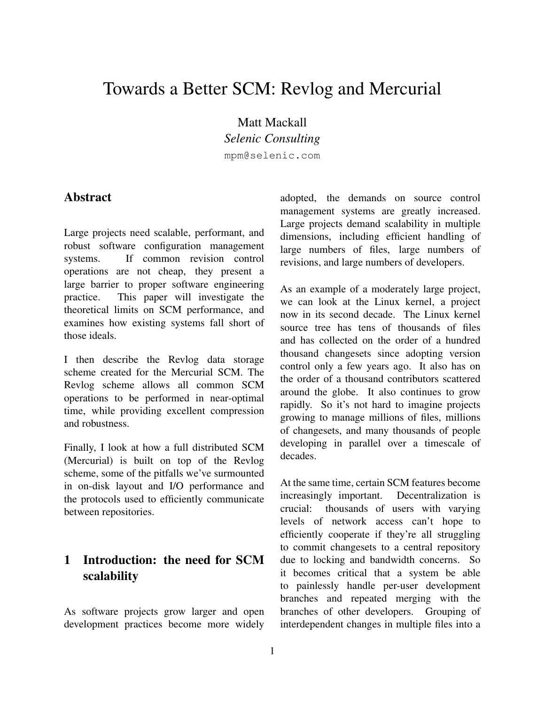# Towards a Better SCM: Revlog and Mercurial

Matt Mackall *Selenic Consulting*

mpm@selenic.com

#### Abstract

Large projects need scalable, performant, and robust software configuration management systems. If common revision control operations are not cheap, they present a large barrier to proper software engineering practice. This paper will investigate the theoretical limits on SCM performance, and examines how existing systems fall short of those ideals.

I then describe the Revlog data storage scheme created for the Mercurial SCM. The Revlog scheme allows all common SCM operations to be performed in near-optimal time, while providing excellent compression and robustness.

Finally, I look at how a full distributed SCM (Mercurial) is built on top of the Revlog scheme, some of the pitfalls we've surmounted in on-disk layout and I/O performance and the protocols used to efficiently communicate between repositories.

### 1 Introduction: the need for SCM scalability

As software projects grow larger and open development practices become more widely

adopted, the demands on source control management systems are greatly increased. Large projects demand scalability in multiple dimensions, including efficient handling of large numbers of files, large numbers of revisions, and large numbers of developers.

As an example of a moderately large project, we can look at the Linux kernel, a project now in its second decade. The Linux kernel source tree has tens of thousands of files and has collected on the order of a hundred thousand changesets since adopting version control only a few years ago. It also has on the order of a thousand contributors scattered around the globe. It also continues to grow rapidly. So it's not hard to imagine projects growing to manage millions of files, millions of changesets, and many thousands of people developing in parallel over a timescale of decades.

At the same time, certain SCM features become increasingly important. Decentralization is crucial: thousands of users with varying levels of network access can't hope to efficiently cooperate if they're all struggling to commit changesets to a central repository due to locking and bandwidth concerns. So it becomes critical that a system be able to painlessly handle per-user development branches and repeated merging with the branches of other developers. Grouping of interdependent changes in multiple files into a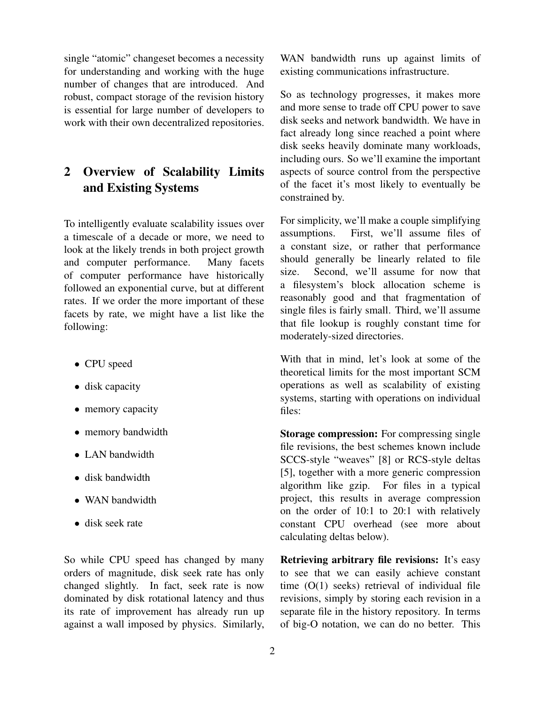single "atomic" changeset becomes a necessity for understanding and working with the huge number of changes that are introduced. And robust, compact storage of the revision history is essential for large number of developers to work with their own decentralized repositories.

## 2 Overview of Scalability Limits and Existing Systems

To intelligently evaluate scalability issues over a timescale of a decade or more, we need to look at the likely trends in both project growth and computer performance. Many facets of computer performance have historically followed an exponential curve, but at different rates. If we order the more important of these facets by rate, we might have a list like the following:

- CPU speed
- disk capacity
- memory capacity
- memory bandwidth
- LAN bandwidth
- disk bandwidth
- WAN bandwidth
- disk seek rate

So while CPU speed has changed by many orders of magnitude, disk seek rate has only changed slightly. In fact, seek rate is now dominated by disk rotational latency and thus its rate of improvement has already run up against a wall imposed by physics. Similarly,

WAN bandwidth runs up against limits of existing communications infrastructure.

So as technology progresses, it makes more and more sense to trade off CPU power to save disk seeks and network bandwidth. We have in fact already long since reached a point where disk seeks heavily dominate many workloads, including ours. So we'll examine the important aspects of source control from the perspective of the facet it's most likely to eventually be constrained by.

For simplicity, we'll make a couple simplifying assumptions. First, we'll assume files of a constant size, or rather that performance should generally be linearly related to file size. Second, we'll assume for now that a filesystem's block allocation scheme is reasonably good and that fragmentation of single files is fairly small. Third, we'll assume that file lookup is roughly constant time for moderately-sized directories.

With that in mind, let's look at some of the theoretical limits for the most important SCM operations as well as scalability of existing systems, starting with operations on individual files:

Storage compression: For compressing single file revisions, the best schemes known include SCCS-style "weaves" [8] or RCS-style deltas [5], together with a more generic compression algorithm like gzip. For files in a typical project, this results in average compression on the order of 10:1 to 20:1 with relatively constant CPU overhead (see more about calculating deltas below).

Retrieving arbitrary file revisions: It's easy to see that we can easily achieve constant time (O(1) seeks) retrieval of individual file revisions, simply by storing each revision in a separate file in the history repository. In terms of big-O notation, we can do no better. This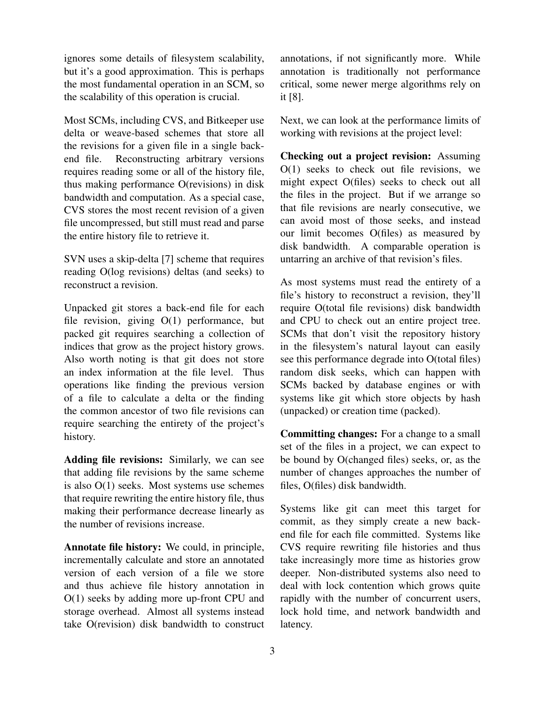ignores some details of filesystem scalability, but it's a good approximation. This is perhaps the most fundamental operation in an SCM, so the scalability of this operation is crucial.

Most SCMs, including CVS, and Bitkeeper use delta or weave-based schemes that store all the revisions for a given file in a single backend file. Reconstructing arbitrary versions requires reading some or all of the history file, thus making performance O(revisions) in disk bandwidth and computation. As a special case, CVS stores the most recent revision of a given file uncompressed, but still must read and parse the entire history file to retrieve it.

SVN uses a skip-delta [7] scheme that requires reading O(log revisions) deltas (and seeks) to reconstruct a revision.

Unpacked git stores a back-end file for each file revision, giving O(1) performance, but packed git requires searching a collection of indices that grow as the project history grows. Also worth noting is that git does not store an index information at the file level. Thus operations like finding the previous version of a file to calculate a delta or the finding the common ancestor of two file revisions can require searching the entirety of the project's history.

Adding file revisions: Similarly, we can see that adding file revisions by the same scheme is also O(1) seeks. Most systems use schemes that require rewriting the entire history file, thus making their performance decrease linearly as the number of revisions increase.

Annotate file history: We could, in principle, incrementally calculate and store an annotated version of each version of a file we store and thus achieve file history annotation in O(1) seeks by adding more up-front CPU and storage overhead. Almost all systems instead take O(revision) disk bandwidth to construct annotations, if not significantly more. While annotation is traditionally not performance critical, some newer merge algorithms rely on it [8].

Next, we can look at the performance limits of working with revisions at the project level:

Checking out a project revision: Assuming O(1) seeks to check out file revisions, we might expect O(files) seeks to check out all the files in the project. But if we arrange so that file revisions are nearly consecutive, we can avoid most of those seeks, and instead our limit becomes O(files) as measured by disk bandwidth. A comparable operation is untarring an archive of that revision's files.

As most systems must read the entirety of a file's history to reconstruct a revision, they'll require O(total file revisions) disk bandwidth and CPU to check out an entire project tree. SCMs that don't visit the repository history in the filesystem's natural layout can easily see this performance degrade into O(total files) random disk seeks, which can happen with SCMs backed by database engines or with systems like git which store objects by hash (unpacked) or creation time (packed).

Committing changes: For a change to a small set of the files in a project, we can expect to be bound by O(changed files) seeks, or, as the number of changes approaches the number of files, O(files) disk bandwidth.

Systems like git can meet this target for commit, as they simply create a new backend file for each file committed. Systems like CVS require rewriting file histories and thus take increasingly more time as histories grow deeper. Non-distributed systems also need to deal with lock contention which grows quite rapidly with the number of concurrent users, lock hold time, and network bandwidth and latency.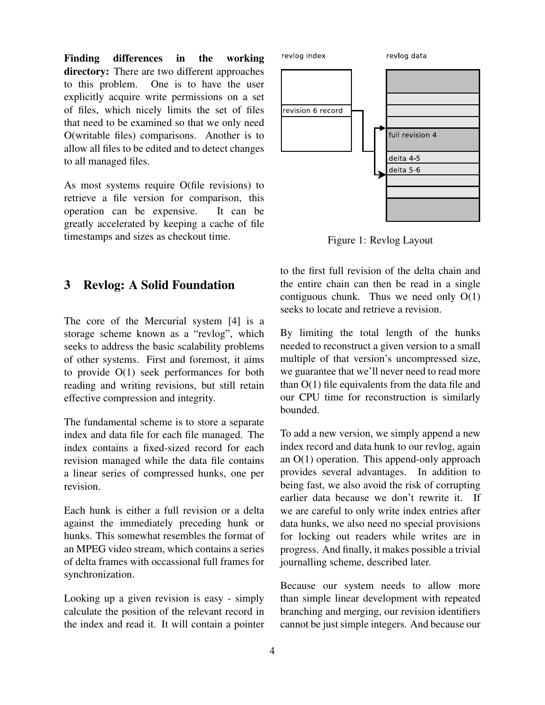Finding differences in the working directory: There are two different approaches to this problem. One is to have the user explicitly acquire write permissions on a set of files, which nicely limits the set of files that need to be examined so that we only need O(writable files) comparisons. Another is to allow all files to be edited and to detect changes to all managed files.

As most systems require O(file revisions) to retrieve a file version for comparison, this operation can be expensive. It can be greatly accelerated by keeping a cache of file timestamps and sizes as checkout time.

#### 3 Revlog: A Solid Foundation

The core of the Mercurial system [4] is a storage scheme known as a "revlog", which seeks to address the basic scalability problems of other systems. First and foremost, it aims to provide O(1) seek performances for both reading and writing revisions, but still retain effective compression and integrity.

The fundamental scheme is to store a separate index and data file for each file managed. The index contains a fixed-sized record for each revision managed while the data file contains a linear series of compressed hunks, one per revision.

Each hunk is either a full revision or a delta against the immediately preceding hunk or hunks. This somewhat resembles the format of an MPEG video stream, which contains a series of delta frames with occassional full frames for synchronization.

Looking up a given revision is easy - simply calculate the position of the relevant record in the index and read it. It will contain a pointer



Figure 1: Revlog Layout

to the first full revision of the delta chain and the entire chain can then be read in a single contiguous chunk. Thus we need only O(1) seeks to locate and retrieve a revision.

By limiting the total length of the hunks needed to reconstruct a given version to a small multiple of that version's uncompressed size, we guarantee that we'll never need to read more than O(1) file equivalents from the data file and our CPU time for reconstruction is similarly bounded.

To add a new version, we simply append a new index record and data hunk to our revlog, again an O(1) operation. This append-only approach provides several advantages. In addition to being fast, we also avoid the risk of corrupting earlier data because we don't rewrite it. If we are careful to only write index entries after data hunks, we also need no special provisions for locking out readers while writes are in progress. And finally, it makes possible a trivial journalling scheme, described later.

Because our system needs to allow more than simple linear development with repeated branching and merging, our revision identifiers cannot be just simple integers. And because our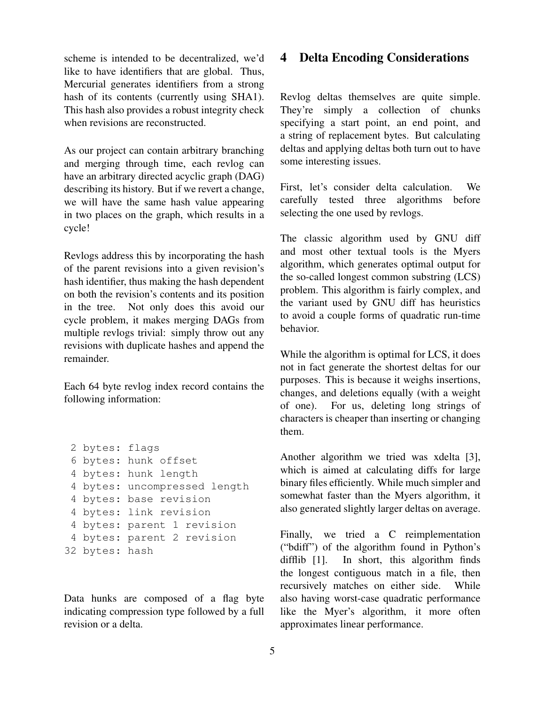scheme is intended to be decentralized, we'd like to have identifiers that are global. Thus, Mercurial generates identifiers from a strong hash of its contents (currently using SHA1). This hash also provides a robust integrity check when revisions are reconstructed.

As our project can contain arbitrary branching and merging through time, each revlog can have an arbitrary directed acyclic graph (DAG) describing its history. But if we revert a change, we will have the same hash value appearing in two places on the graph, which results in a cycle!

Revlogs address this by incorporating the hash of the parent revisions into a given revision's hash identifier, thus making the hash dependent on both the revision's contents and its position in the tree. Not only does this avoid our cycle problem, it makes merging DAGs from multiple revlogs trivial: simply throw out any revisions with duplicate hashes and append the remainder.

Each 64 byte revlog index record contains the following information:

```
2 bytes: flags
 6 bytes: hunk offset
 4 bytes: hunk length
 4 bytes: uncompressed length
 4 bytes: base revision
 4 bytes: link revision
 4 bytes: parent 1 revision
 4 bytes: parent 2 revision
32 bytes: hash
```
Data hunks are composed of a flag byte indicating compression type followed by a full revision or a delta.

#### 4 Delta Encoding Considerations

Revlog deltas themselves are quite simple. They're simply a collection of chunks specifying a start point, an end point, and a string of replacement bytes. But calculating deltas and applying deltas both turn out to have some interesting issues.

First, let's consider delta calculation. We carefully tested three algorithms before selecting the one used by revlogs.

The classic algorithm used by GNU diff and most other textual tools is the Myers algorithm, which generates optimal output for the so-called longest common substring (LCS) problem. This algorithm is fairly complex, and the variant used by GNU diff has heuristics to avoid a couple forms of quadratic run-time behavior.

While the algorithm is optimal for LCS, it does not in fact generate the shortest deltas for our purposes. This is because it weighs insertions, changes, and deletions equally (with a weight of one). For us, deleting long strings of characters is cheaper than inserting or changing them.

Another algorithm we tried was xdelta [3], which is aimed at calculating diffs for large binary files efficiently. While much simpler and somewhat faster than the Myers algorithm, it also generated slightly larger deltas on average.

Finally, we tried a C reimplementation ("bdiff") of the algorithm found in Python's difflib [1]. In short, this algorithm finds the longest contiguous match in a file, then recursively matches on either side. While also having worst-case quadratic performance like the Myer's algorithm, it more often approximates linear performance.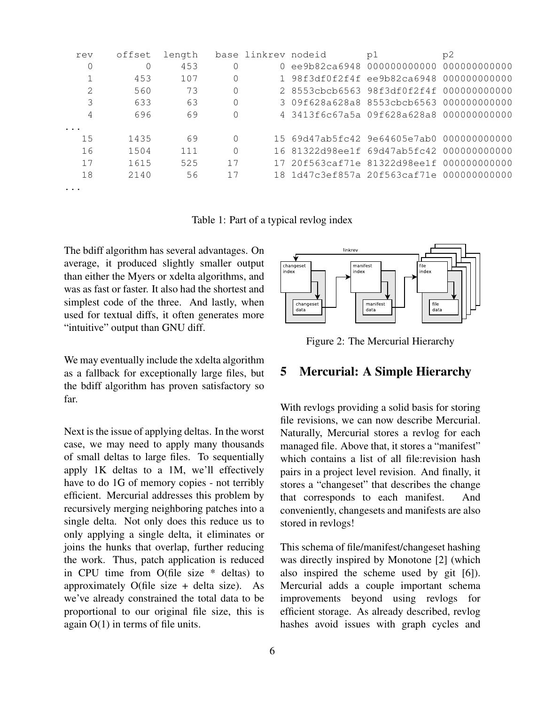| rev                     | offset | length |          | base linkrev nodeid | p1                                        | p2 |
|-------------------------|--------|--------|----------|---------------------|-------------------------------------------|----|
| 0                       |        | 453    | $\Omega$ |                     | 0 ee9b82ca6948 000000000000 000000000000  |    |
|                         | 453    | 107    | $\Omega$ |                     | 1 98f3df0f2f4f ee9b82ca6948 000000000000  |    |
| 2                       | 560    | 73     | $\Omega$ |                     | 2 8553cbcb6563 98f3df0f2f4f 000000000000  |    |
| 3                       | 633    | 63     | $\Omega$ |                     | 3 09f628a628a8 8553cbcb6563 000000000000  |    |
| 4                       | 696    | 69     | 0        |                     | 4 3413f6c67a5a 09f628a628a8 000000000000  |    |
| $\cdot$ $\cdot$ $\cdot$ |        |        |          |                     |                                           |    |
| 15                      | 1435   | 69     | $\Omega$ |                     | 15 69d47ab5fc42 9e64605e7ab0 000000000000 |    |
| 16                      | 1504   | 111    | $\Omega$ |                     | 16 81322d98ee1f 69d47ab5fc42 000000000000 |    |
| 17                      | 1615   | 525    | 17       |                     | 17 20f563caf71e 81322d98ee1f 000000000000 |    |
| 18                      | 2140   | 56     | 17       |                     | 18 1d47c3ef857a 20f563caf71e 000000000000 |    |
| $\cdots$                |        |        |          |                     |                                           |    |

Table 1: Part of a typical revlog index

The bdiff algorithm has several advantages. On average, it produced slightly smaller output than either the Myers or xdelta algorithms, and was as fast or faster. It also had the shortest and simplest code of the three. And lastly, when used for textual diffs, it often generates more "intuitive" output than GNU diff.

We may eventually include the xdelta algorithm as a fallback for exceptionally large files, but the bdiff algorithm has proven satisfactory so far.

Next is the issue of applying deltas. In the worst case, we may need to apply many thousands of small deltas to large files. To sequentially apply 1K deltas to a 1M, we'll effectively have to do 1G of memory copies - not terribly efficient. Mercurial addresses this problem by recursively merging neighboring patches into a single delta. Not only does this reduce us to only applying a single delta, it eliminates or joins the hunks that overlap, further reducing the work. Thus, patch application is reduced in CPU time from O(file size \* deltas) to approximately O(file size  $+$  delta size). As we've already constrained the total data to be proportional to our original file size, this is again O(1) in terms of file units.



Figure 2: The Mercurial Hierarchy

#### 5 Mercurial: A Simple Hierarchy

With revlogs providing a solid basis for storing file revisions, we can now describe Mercurial. Naturally, Mercurial stores a revlog for each managed file. Above that, it stores a "manifest" which contains a list of all file:revision hash pairs in a project level revision. And finally, it stores a "changeset" that describes the change that corresponds to each manifest. And conveniently, changesets and manifests are also stored in revlogs!

This schema of file/manifest/changeset hashing was directly inspired by Monotone [2] (which also inspired the scheme used by git [6]). Mercurial adds a couple important schema improvements beyond using revlogs for efficient storage. As already described, revlog hashes avoid issues with graph cycles and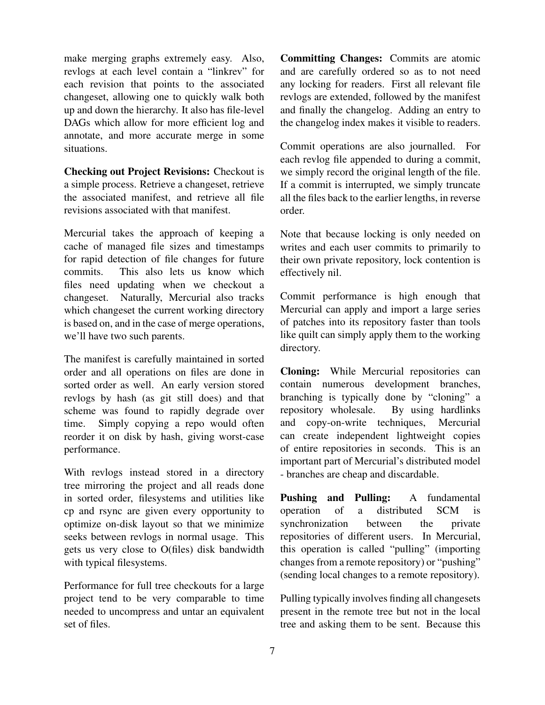make merging graphs extremely easy. Also, revlogs at each level contain a "linkrev" for each revision that points to the associated changeset, allowing one to quickly walk both up and down the hierarchy. It also has file-level DAGs which allow for more efficient log and annotate, and more accurate merge in some situations.

Checking out Project Revisions: Checkout is a simple process. Retrieve a changeset, retrieve the associated manifest, and retrieve all file revisions associated with that manifest.

Mercurial takes the approach of keeping a cache of managed file sizes and timestamps for rapid detection of file changes for future commits. This also lets us know which files need updating when we checkout a changeset. Naturally, Mercurial also tracks which changeset the current working directory is based on, and in the case of merge operations, we'll have two such parents.

The manifest is carefully maintained in sorted order and all operations on files are done in sorted order as well. An early version stored revlogs by hash (as git still does) and that scheme was found to rapidly degrade over time. Simply copying a repo would often reorder it on disk by hash, giving worst-case performance.

With revlogs instead stored in a directory tree mirroring the project and all reads done in sorted order, filesystems and utilities like cp and rsync are given every opportunity to optimize on-disk layout so that we minimize seeks between revlogs in normal usage. This gets us very close to O(files) disk bandwidth with typical filesystems.

Performance for full tree checkouts for a large project tend to be very comparable to time needed to uncompress and untar an equivalent set of files.

Committing Changes: Commits are atomic and are carefully ordered so as to not need any locking for readers. First all relevant file revlogs are extended, followed by the manifest and finally the changelog. Adding an entry to the changelog index makes it visible to readers.

Commit operations are also journalled. For each revlog file appended to during a commit, we simply record the original length of the file. If a commit is interrupted, we simply truncate all the files back to the earlier lengths, in reverse order.

Note that because locking is only needed on writes and each user commits to primarily to their own private repository, lock contention is effectively nil.

Commit performance is high enough that Mercurial can apply and import a large series of patches into its repository faster than tools like quilt can simply apply them to the working directory.

Cloning: While Mercurial repositories can contain numerous development branches, branching is typically done by "cloning" a repository wholesale. By using hardlinks and copy-on-write techniques, Mercurial can create independent lightweight copies of entire repositories in seconds. This is an important part of Mercurial's distributed model - branches are cheap and discardable.

Pushing and Pulling: A fundamental operation of a distributed SCM is synchronization between the private repositories of different users. In Mercurial, this operation is called "pulling" (importing changes from a remote repository) or "pushing" (sending local changes to a remote repository).

Pulling typically involves finding all changesets present in the remote tree but not in the local tree and asking them to be sent. Because this